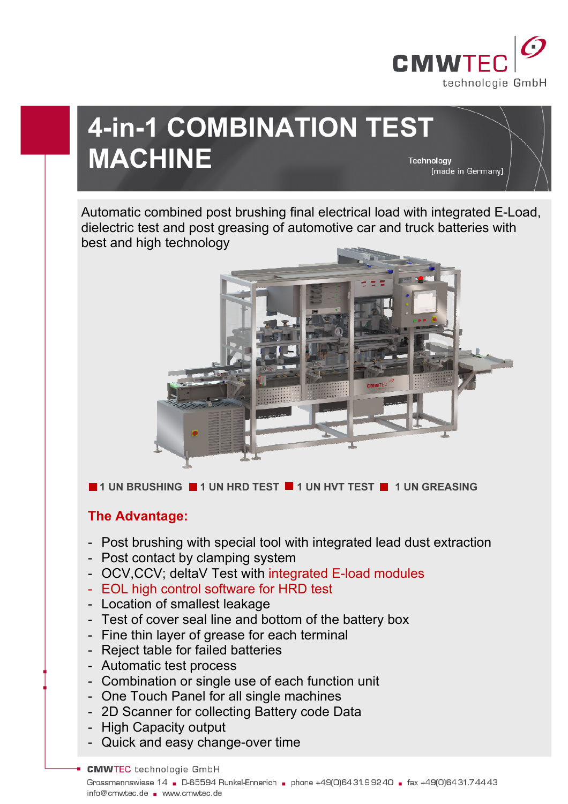

# **4-in-1 COMBINATION TEST MACHINE**  Technology [made in Germany]

Automatic combined post brushing final electrical load with integrated E-Load, dielectric test and post greasing of automotive car and truck batteries with best and high technology



**1 UN BRUSHING 1 UN HRD TEST 1 UN HVT TEST 1 UN GREASING** 

# **The Advantage:**

- Post brushing with special tool with integrated lead dust extraction
- Post contact by clamping system
- OCV,CCV; deltaV Test with integrated E-load modules
- EOL high control software for HRD test
- Location of smallest leakage
- Test of cover seal line and bottom of the battery box
- Fine thin layer of grease for each terminal
- Reject table for failed batteries
- Automatic test process
- Combination or single use of each function unit
- One Touch Panel for all single machines
- 2D Scanner for collecting Battery code Data
- High Capacity output
- Quick and easy change-over time

**CMWTEC** technologie GmbH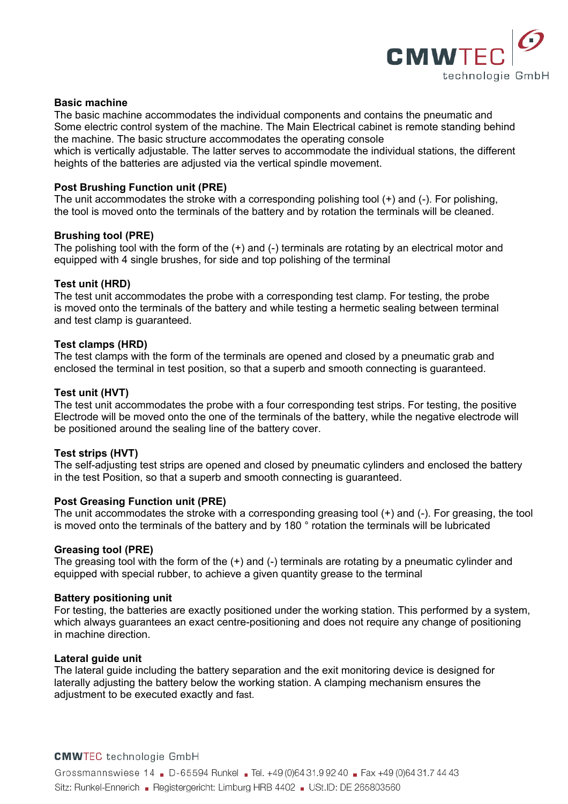

#### **Basic machine**

The basic machine accommodates the individual components and contains the pneumatic and Some electric control system of the machine. The Main Electrical cabinet is remote standing behind the machine. The basic structure accommodates the operating console

which is vertically adjustable. The latter serves to accommodate the individual stations, the different heights of the batteries are adjusted via the vertical spindle movement.

# **Post Brushing Function unit (PRE)**

The unit accommodates the stroke with a corresponding polishing tool (+) and (-). For polishing, the tool is moved onto the terminals of the battery and by rotation the terminals will be cleaned.

#### **Brushing tool (PRE)**

The polishing tool with the form of the (+) and (-) terminals are rotating by an electrical motor and equipped with 4 single brushes, for side and top polishing of the terminal

#### **Test unit (HRD)**

The test unit accommodates the probe with a corresponding test clamp. For testing, the probe is moved onto the terminals of the battery and while testing a hermetic sealing between terminal and test clamp is guaranteed.

#### **Test clamps (HRD)**

The test clamps with the form of the terminals are opened and closed by a pneumatic grab and enclosed the terminal in test position, so that a superb and smooth connecting is guaranteed.

# **Test unit (HVT)**

The test unit accommodates the probe with a four corresponding test strips. For testing, the positive Electrode will be moved onto the one of the terminals of the battery, while the negative electrode will be positioned around the sealing line of the battery cover.

# **Test strips (HVT)**

The self-adjusting test strips are opened and closed by pneumatic cylinders and enclosed the battery in the test Position, so that a superb and smooth connecting is guaranteed.

#### **Post Greasing Function unit (PRE)**

The unit accommodates the stroke with a corresponding greasing tool (+) and (-). For greasing, the tool is moved onto the terminals of the battery and by 180 ° rotation the terminals will be lubricated

#### **Greasing tool (PRE)**

The greasing tool with the form of the  $(+)$  and  $(-)$  terminals are rotating by a pneumatic cylinder and equipped with special rubber, to achieve a given quantity grease to the terminal

#### **Battery positioning unit**

For testing, the batteries are exactly positioned under the working station. This performed by a system, which always guarantees an exact centre-positioning and does not require any change of positioning in machine direction.

#### **Lateral guide unit**

The lateral guide including the battery separation and the exit monitoring device is designed for laterally adjusting the battery below the working station. A clamping mechanism ensures the adjustment to be executed exactly and fast.

#### **CMWTEC** technologie GmbH